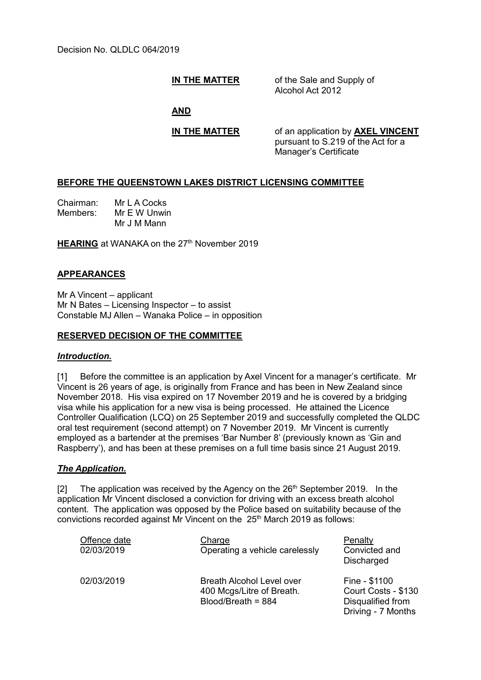**IN THE MATTER** of the Sale and Supply of Alcohol Act 2012

**AND**

**IN THE MATTER** of an application by **AXEL VINCENT** pursuant to S.219 of the Act for a Manager's Certificate

## **BEFORE THE QUEENSTOWN LAKES DISTRICT LICENSING COMMITTEE**

Chairman: Mr L A Cocks Members: Mr E W Unwin Mr J M Mann

**HEARING** at WANAKA on the 27<sup>th</sup> November 2019

## **APPEARANCES**

Mr A Vincent – applicant Mr N Bates – Licensing Inspector – to assist Constable MJ Allen – Wanaka Police – in opposition

#### **RESERVED DECISION OF THE COMMITTEE**

### *Introduction.*

[1] Before the committee is an application by Axel Vincent for a manager's certificate. Mr Vincent is 26 years of age, is originally from France and has been in New Zealand since November 2018. His visa expired on 17 November 2019 and he is covered by a bridging visa while his application for a new visa is being processed. He attained the Licence Controller Qualification (LCQ) on 25 September 2019 and successfully completed the QLDC oral test requirement (second attempt) on 7 November 2019. Mr Vincent is currently employed as a bartender at the premises 'Bar Number 8' (previously known as 'Gin and Raspberry'), and has been at these premises on a full time basis since 21 August 2019.

### *The Application.*

[2] The application was received by the Agency on the  $26<sup>th</sup>$  September 2019. In the application Mr Vincent disclosed a conviction for driving with an excess breath alcohol content. The application was opposed by the Police based on suitability because of the convictions recorded against Mr Vincent on the 25<sup>th</sup> March 2019 as follows:

| Offence date | Charge                                                                              | Penalty                                                                         |
|--------------|-------------------------------------------------------------------------------------|---------------------------------------------------------------------------------|
| 02/03/2019   | Operating a vehicle carelessly                                                      | Convicted and<br><b>Discharged</b>                                              |
| 02/03/2019   | <b>Breath Alcohol Level over</b><br>400 Mcgs/Litre of Breath.<br>Blood/Breath = 884 | Fine - \$1100<br>Court Costs - \$130<br>Disqualified from<br>Driving - 7 Months |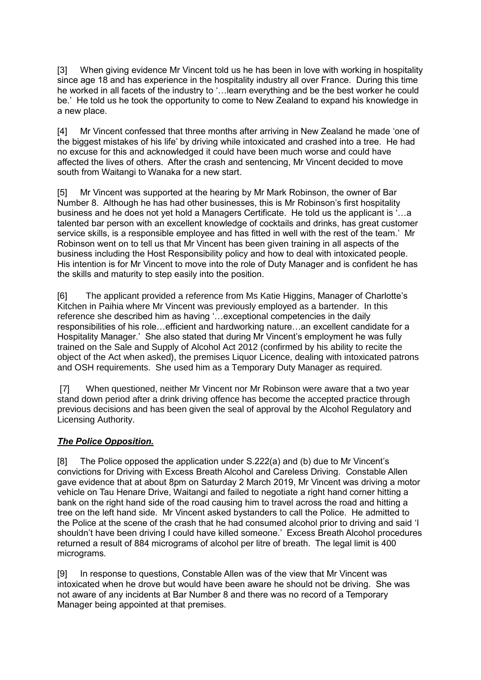[3] When giving evidence Mr Vincent told us he has been in love with working in hospitality since age 18 and has experience in the hospitality industry all over France. During this time he worked in all facets of the industry to '…learn everything and be the best worker he could be.' He told us he took the opportunity to come to New Zealand to expand his knowledge in a new place.

[4] Mr Vincent confessed that three months after arriving in New Zealand he made 'one of the biggest mistakes of his life' by driving while intoxicated and crashed into a tree. He had no excuse for this and acknowledged it could have been much worse and could have affected the lives of others. After the crash and sentencing, Mr Vincent decided to move south from Waitangi to Wanaka for a new start.

[5] Mr Vincent was supported at the hearing by Mr Mark Robinson, the owner of Bar Number 8. Although he has had other businesses, this is Mr Robinson's first hospitality business and he does not yet hold a Managers Certificate. He told us the applicant is '…a talented bar person with an excellent knowledge of cocktails and drinks, has great customer service skills, is a responsible employee and has fitted in well with the rest of the team.' Mr Robinson went on to tell us that Mr Vincent has been given training in all aspects of the business including the Host Responsibility policy and how to deal with intoxicated people. His intention is for Mr Vincent to move into the role of Duty Manager and is confident he has the skills and maturity to step easily into the position.

[6] The applicant provided a reference from Ms Katie Higgins, Manager of Charlotte's Kitchen in Paihia where Mr Vincent was previously employed as a bartender. In this reference she described him as having '…exceptional competencies in the daily responsibilities of his role…efficient and hardworking nature…an excellent candidate for a Hospitality Manager.' She also stated that during Mr Vincent's employment he was fully trained on the Sale and Supply of Alcohol Act 2012 (confirmed by his ability to recite the object of the Act when asked), the premises Liquor Licence, dealing with intoxicated patrons and OSH requirements. She used him as a Temporary Duty Manager as required.

[7] When questioned, neither Mr Vincent nor Mr Robinson were aware that a two year stand down period after a drink driving offence has become the accepted practice through previous decisions and has been given the seal of approval by the Alcohol Regulatory and Licensing Authority.

# *The Police Opposition.*

[8] The Police opposed the application under S.222(a) and (b) due to Mr Vincent's convictions for Driving with Excess Breath Alcohol and Careless Driving. Constable Allen gave evidence that at about 8pm on Saturday 2 March 2019, Mr Vincent was driving a motor vehicle on Tau Henare Drive, Waitangi and failed to negotiate a right hand corner hitting a bank on the right hand side of the road causing him to travel across the road and hitting a tree on the left hand side. Mr Vincent asked bystanders to call the Police. He admitted to the Police at the scene of the crash that he had consumed alcohol prior to driving and said 'I shouldn't have been driving I could have killed someone.' Excess Breath Alcohol procedures returned a result of 884 micrograms of alcohol per litre of breath. The legal limit is 400 micrograms.

[9] In response to questions, Constable Allen was of the view that Mr Vincent was intoxicated when he drove but would have been aware he should not be driving. She was not aware of any incidents at Bar Number 8 and there was no record of a Temporary Manager being appointed at that premises.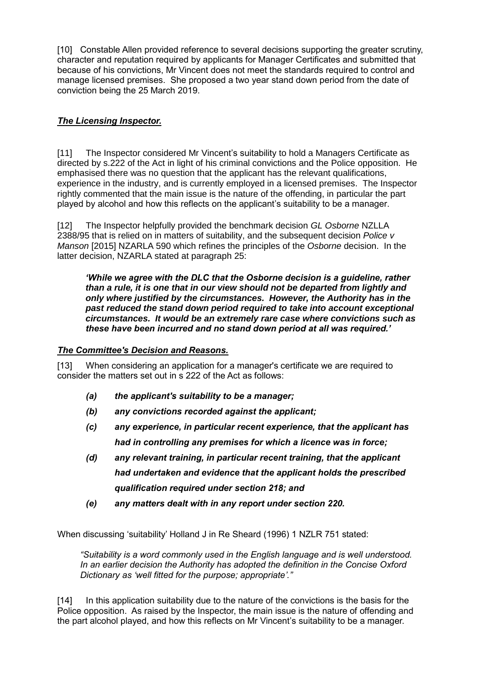[10] Constable Allen provided reference to several decisions supporting the greater scrutiny, character and reputation required by applicants for Manager Certificates and submitted that because of his convictions, Mr Vincent does not meet the standards required to control and manage licensed premises. She proposed a two year stand down period from the date of conviction being the 25 March 2019.

# *The Licensing Inspector.*

[11] The Inspector considered Mr Vincent's suitability to hold a Managers Certificate as directed by s.222 of the Act in light of his criminal convictions and the Police opposition. He emphasised there was no question that the applicant has the relevant qualifications, experience in the industry, and is currently employed in a licensed premises. The Inspector rightly commented that the main issue is the nature of the offending, in particular the part played by alcohol and how this reflects on the applicant's suitability to be a manager.

[12] The Inspector helpfully provided the benchmark decision *GL Osborne* NZLLA 2388/95 that is relied on in matters of suitability, and the subsequent decision *Police v Manson* [2015] NZARLA 590 which refines the principles of the *Osborne* decision. In the latter decision, NZARLA stated at paragraph 25:

*'While we agree with the DLC that the Osborne decision is a guideline, rather than a rule, it is one that in our view should not be departed from lightly and only where justified by the circumstances. However, the Authority has in the past reduced the stand down period required to take into account exceptional circumstances. It would be an extremely rare case where convictions such as these have been incurred and no stand down period at all was required.'*

### *The Committee's Decision and Reasons.*

[13] When considering an application for a manager's certificate we are required to consider the matters set out in s 222 of the Act as follows:

- *(a) the applicant's suitability to be a manager;*
- *(b) any convictions recorded against the applicant;*
- *(c) any experience, in particular recent experience, that the applicant has had in controlling any premises for which a licence was in force;*
- *(d) any relevant training, in particular recent training, that the applicant had undertaken and evidence that the applicant holds the prescribed qualification required under section 218; and*
- *(e) any matters dealt with in any report under section 220.*

When discussing 'suitability' Holland J in Re Sheard (1996) 1 NZLR 751 stated:

*"Suitability is a word commonly used in the English language and is well understood. In an earlier decision the Authority has adopted the definition in the Concise Oxford Dictionary as 'well fitted for the purpose; appropriate'."*

[14] In this application suitability due to the nature of the convictions is the basis for the Police opposition. As raised by the Inspector, the main issue is the nature of offending and the part alcohol played, and how this reflects on Mr Vincent's suitability to be a manager.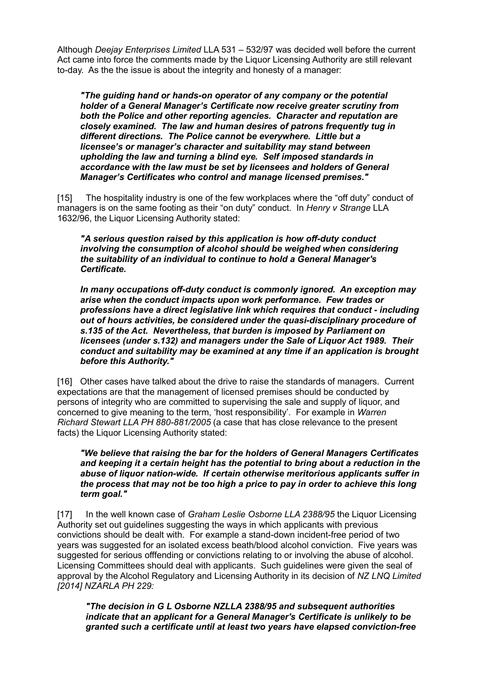Although *Deejay Enterprises Limited* LLA 531 – 532/97 was decided well before the current Act came into force the comments made by the Liquor Licensing Authority are still relevant to-day. As the the issue is about the integrity and honesty of a manager:

*"The guiding hand or hands-on operator of any company or the potential holder of a General Manager's Certificate now receive greater scrutiny from both the Police and other reporting agencies. Character and reputation are closely examined. The law and human desires of patrons frequently tug in different directions. The Police cannot be everywhere. Little but a licensee's or manager's character and suitability may stand between upholding the law and turning a blind eye. Self imposed standards in accordance with the law must be set by licensees and holders of General Manager's Certificates who control and manage licensed premises."*

[15] The hospitality industry is one of the few workplaces where the "off duty" conduct of managers is on the same footing as their "on duty" conduct. In *Henry v Strange* LLA 1632/96, the Liquor Licensing Authority stated:

*"A serious question raised by this application is how off-duty conduct involving the consumption of alcohol should be weighed when considering the suitability of an individual to continue to hold a General Manager's Certificate.*

*In many occupations off-duty conduct is commonly ignored. An exception may arise when the conduct impacts upon work performance. Few trades or professions have a direct legislative link which requires that conduct - including out of hours activities, be considered under the quasi-disciplinary procedure of s.135 of the Act. Nevertheless, that burden is imposed by Parliament on licensees (under s.132) and managers under the Sale of Liquor Act 1989. Their conduct and suitability may be examined at any time if an application is brought before this Authority."*

[16] Other cases have talked about the drive to raise the standards of managers. Current expectations are that the management of licensed premises should be conducted by persons of integrity who are committed to supervising the sale and supply of liquor, and concerned to give meaning to the term, 'host responsibility'. For example in *Warren Richard Stewart LLA PH 880-881/2005* (a case that has close relevance to the present facts) the Liquor Licensing Authority stated:

*"We believe that raising the bar for the holders of General Managers Certificates and keeping it a certain height has the potential to bring about a reduction in the abuse of liquor nation-wide. If certain otherwise meritorious applicants suffer in the process that may not be too high a price to pay in order to achieve this long term goal."*

[17] In the well known case of *Graham Leslie Osborne LLA 2388/95* the Liquor Licensing Authority set out guidelines suggesting the ways in which applicants with previous convictions should be dealt with. For example a stand-down incident-free period of two years was suggested for an isolated excess beath/blood alcohol conviction. Five years was suggested for serious offfending or convictions relating to or involving the abuse of alcohol. Licensing Committees should deal with applicants. Such guidelines were given the seal of approval by the Alcohol Regulatory and Licensing Authority in its decision of *NZ LNQ Limited [2014] NZARLA PH 229:*

*"The decision in G L Osborne NZLLA 2388/95 and subsequent authorities indicate that an applicant for a General Manager's Certificate is unlikely to be granted such a certificate until at least two years have elapsed conviction-free*